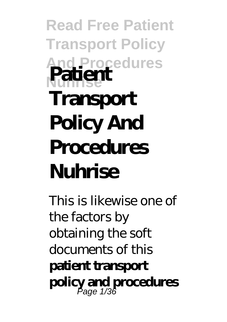# **Read Free Patient Transport Policy And Procedures Nuhrise Patient Transport Policy And Procedures Nuhrise**

This is likewise one of the factors by obtaining the soft documents of this **patient transport policy and procedures** Page 1/36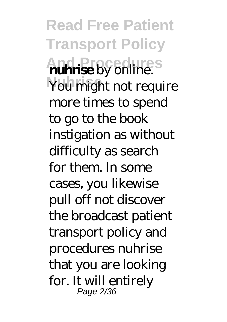**Read Free Patient Transport Policy And Procedures nuhrise** by online. You might not require more times to spend to go to the book instigation as without difficulty as search for them. In some cases, you likewise pull off not discover the broadcast patient transport policy and procedures nuhrise that you are looking for. It will entirely Page 2/36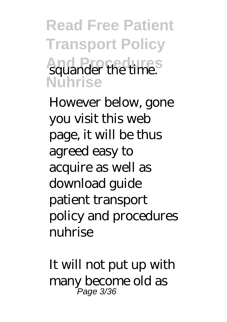**Read Free Patient Transport Policy And Procedures** squander the time. **Nuhrise**

However below, gone you visit this web page, it will be thus agreed easy to acquire as well as download guide patient transport policy and procedures nuhrise

It will not put up with many become old as Page 3/36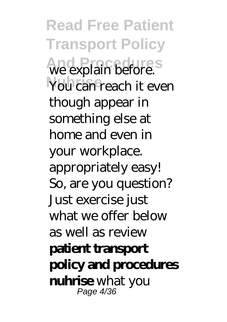**Read Free Patient Transport Policy And Procedures** we explain before. You can reach it even though appear in something else at home and even in your workplace. appropriately easy! So, are you question? Just exercise just what we offer below as well as review **patient transport policy and procedures nuhrise** what you Page 4/36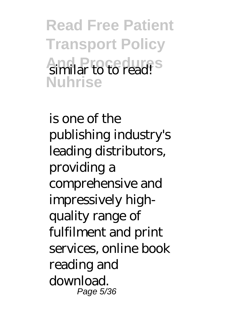**Read Free Patient Transport Policy And Procedures** similar to to read! **Nuhrise**

is one of the publishing industry's leading distributors, providing a comprehensive and impressively highquality range of fulfilment and print services, online book reading and download. Page 5/36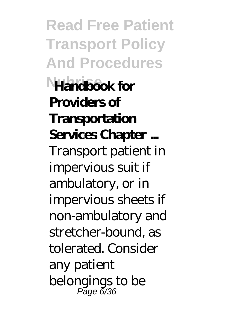**Read Free Patient Transport Policy And Procedures Nuhrise Handbook for Providers of Transportation Services Chapter ...** Transport patient in impervious suit if ambulatory, or in impervious sheets if non-ambulatory and stretcher-bound, as tolerated. Consider any patient belongings to be Page රි/36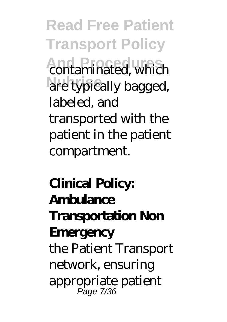**Read Free Patient Transport Policy And Procedures And Procedures** are typically bagged, labeled, and transported with the patient in the patient compartment.

# **Clinical Policy: Ambulance Transportation Non Emergency** the Patient Transport network, ensuring appropriate patient Page 7/36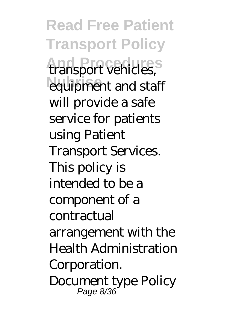**Read Free Patient Transport Policy And Procedures** transport vehicles, equipment and staff will provide a safe service for patients using Patient Transport Services. This policy is intended to be a component of a contractual arrangement with the Health Administration Corporation. Document type Policy Page 8/36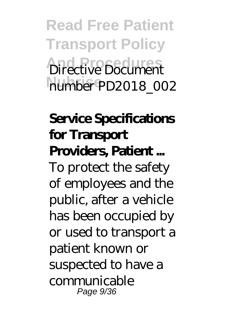**Read Free Patient Transport Policy And Procedures** Directive Document **Nuhrise** number PD2018\_002

# **Service Specifications for Transport Providers, Patient ...** To protect the safety of employees and the public, after a vehicle has been occupied by or used to transport a patient known or suspected to have a communicable

Page 9/36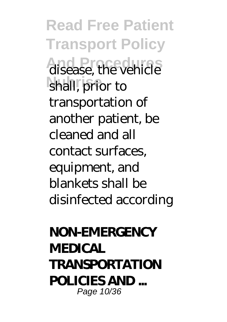**Read Free Patient Transport Policy** disease, the vehicle shall, prior to transportation of another patient, be cleaned and all contact surfaces, equipment, and blankets shall be disinfected according

#### **NON-EMERGENCY MEDICAL TRANSPORTATION POLICIES AND ...** Page 10/36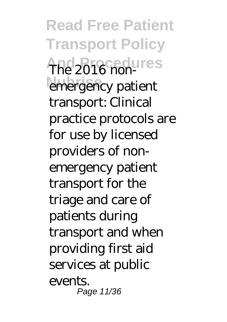**Read Free Patient Transport Policy** The 2016 nonemergency patient transport: Clinical practice protocols are for use by licensed providers of nonemergency patient transport for the triage and care of patients during transport and when providing first aid services at public events. Page 11/36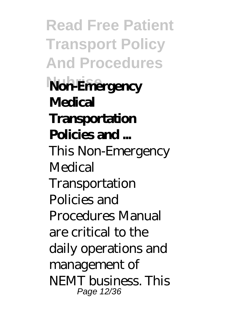**Read Free Patient Transport Policy And Procedures Nuhrise Non-Emergency Medical Transportation Policies and ...** This Non-Emergency **Medical** Transportation Policies and Procedures Manual are critical to the daily operations and management of NEMT business. This Page 12/36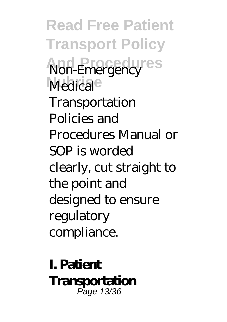**Read Free Patient Transport Policy And Procedures** Non-Emergency Medical<sup>e</sup> Transportation Policies and Procedures Manual or SOP is worded clearly, cut straight to the point and designed to ensure regulatory compliance.

**I. Patient Transportation** Page 13/36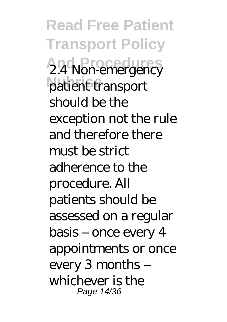**Read Free Patient Transport Policy** 2.4 Non-emergency patient transport should be the exception not the rule and therefore there must be strict adherence to the procedure. All patients should be assessed on a regular basis – once every 4 appointments or once every 3 months – whichever is the Page 14/36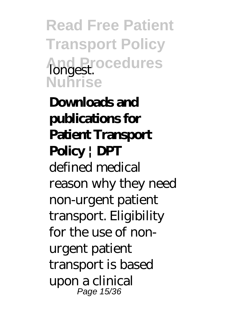**Read Free Patient Transport Policy And Procedures** longest. **Nuhrise**

**Downloads and publications for Patient Transport Policy | DPT** defined medical reason why they need non-urgent patient transport. Eligibility for the use of nonurgent patient transport is based upon a clinical Page 15/36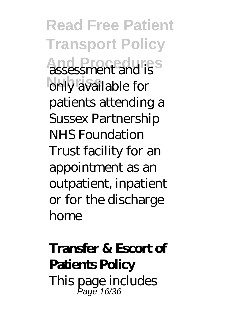**Read Free Patient Transport Policy And Procedures** assessment and is only available for patients attending a Sussex Partnership NHS Foundation Trust facility for an appointment as an outpatient, inpatient or for the discharge home

#### **Transfer & Escort of Patients Policy** This page includes Page 16/36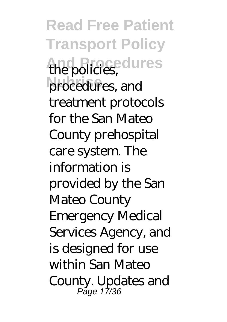**Read Free Patient Transport Policy And Procedures** the policies, procedures, and treatment protocols for the San Mateo County prehospital care system. The information is provided by the San Mateo County Emergency Medical Services Agency, and is designed for use within San Mateo County. Updates and Page 17/36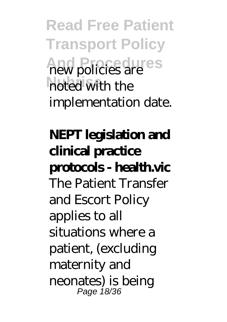**Read Free Patient Transport Policy And Procedures** new policies are noted with the implementation date.

**NEPT legislation and clinical practice protocols - health.vic** The Patient Transfer and Escort Policy applies to all situations where a patient, (excluding maternity and neonates) is being Page 18/36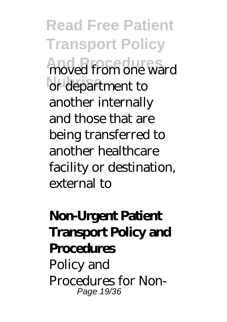**Read Free Patient Transport Policy** moved from one ward or department to another internally and those that are being transferred to another healthcare facility or destination, external to

# **Non-Urgent Patient Transport Policy and Procedures** Policy and

Procedures for Non-Page 19/36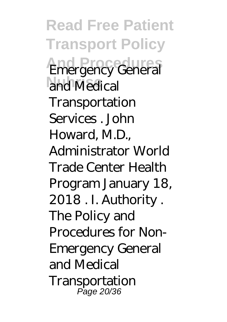**Read Free Patient Transport Policy Emergency General** and Medical Transportation Services . John Howard, M.D., Administrator World Trade Center Health Program January 18, 2018 . I. Authority . The Policy and Procedures for Non-Emergency General and Medical **Transportation** Page 20/36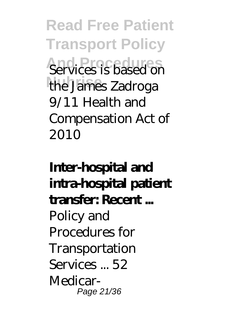**Read Free Patient Transport Policy** Services is based on the James Zadroga 9/11 Health and Compensation Act of 2010

# **Inter-hospital and intra-hospital patient transfer: Recent ...** Policy and Procedures for Transportation Services  $.52$ Medicar-Page 21/36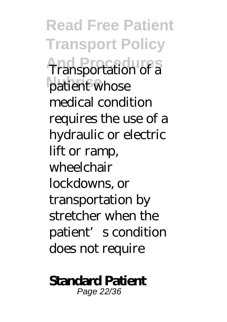**Read Free Patient Transport Policy Transportation of a** patient whose medical condition requires the use of a hydraulic or electric lift or ramp, wheelchair lockdowns, or transportation by stretcher when the patient's condition does not require

#### **Standard Patient**

Page 22/36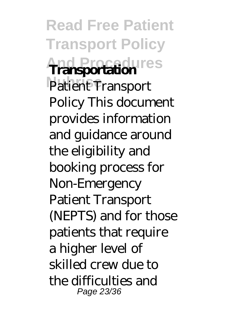**Read Free Patient Transport Policy And Procedures Transportation** Patient Transport Policy This document provides information and guidance around the eligibility and booking process for Non-Emergency Patient Transport (NEPTS) and for those patients that require a higher level of skilled crew due to the difficulties and Page 23/36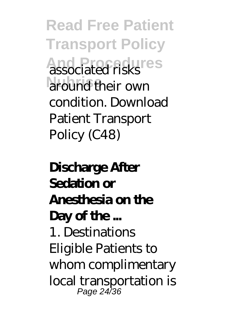**Read Free Patient Transport Policy And Procedures** around their own condition. Download Patient Transport Policy (C48)

# **Discharge After Sedation or Anesthesia on the Day of the ...** 1. Destinations Eligible Patients to whom complimentary local transportation is

Page 24/36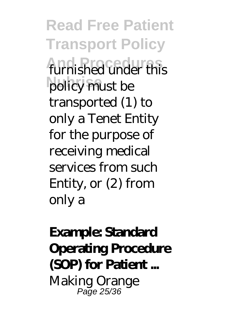**Read Free Patient Transport Policy** furnished under this policy must be transported (1) to only a Tenet Entity for the purpose of receiving medical services from such Entity, or (2) from only a

### **Example: Standard Operating Procedure (SOP) for Patient ...** Making Orange Page 25/36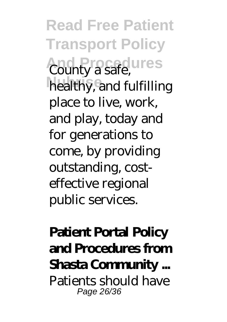**Read Free Patient Transport Policy And Procedures** County a safe, healthy, and fulfilling place to live, work, and play, today and for generations to come, by providing outstanding, costeffective regional public services.

#### **Patient Portal Policy and Procedures from Shasta Community ...** Patients should have Page 26/36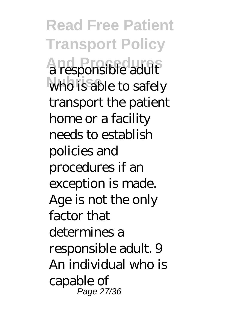**Read Free Patient Transport Policy And Procedures** a responsible adult who is able to safely transport the patient home or a facility needs to establish policies and procedures if an exception is made. Age is not the only factor that determines a responsible adult. 9 An individual who is capable of Page 27/36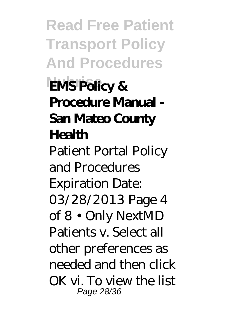**Read Free Patient Transport Policy And Procedures EMS Policy & Procedure Manual - San Mateo County Health** Patient Portal Policy and Procedures Expiration Date: 03/28/2013 Page 4 of 8 • Only NextMD Patients v. Select all other preferences as needed and then click OK vi. To view the list Page 28/36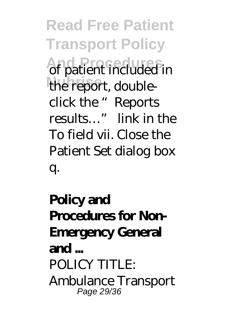**Read Free Patient Transport Policy And Procedures** of patient included in the report, doubleclick the "Reports results…" link in the To field vii. Close the Patient Set dialog box q.

# **Policy and Procedures for Non-Emergency General and ...** POLICY TITLE: Ambulance Transport Page 29/36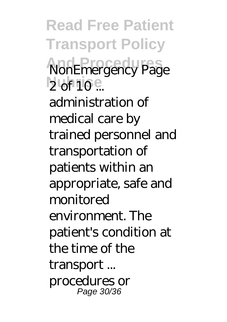**Read Free Patient Transport Policy NonEmergency Page** 2 of 10 ...

administration of medical care by trained personnel and transportation of patients within an appropriate, safe and monitored environment. The patient's condition at the time of the transport ... procedures or Page 30/36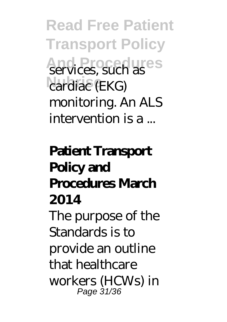**Read Free Patient Transport Policy And Procedures** services, such as cardiac (EKG) monitoring. An ALS intervention is a ...

# **Patient Transport Policy and Procedures March 2014**

The purpose of the Standards is to provide an outline that healthcare workers (HCWs) in Page 31/36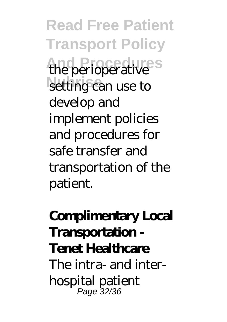**Read Free Patient Transport Policy And Procedures** the perioperative setting can use to develop and implement policies and procedures for safe transfer and transportation of the patient.

### **Complimentary Local Transportation - Tenet Healthcare** The intra- and interhospital patient Page 32/36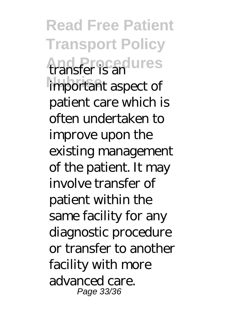**Read Free Patient Transport Policy And Procedures** transfer is an important aspect of patient care which is often undertaken to improve upon the existing management of the patient. It may involve transfer of patient within the same facility for any diagnostic procedure or transfer to another facility with more advanced care. Page 33/36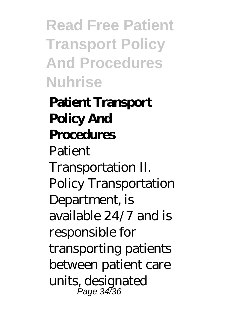**Read Free Patient Transport Policy And Procedures Nuhrise**

# **Patient Transport Policy And Procedures Patient** Transportation II. Policy Transportation Department, is available 24/7 and is responsible for transporting patients between patient care units, designated Page 34/36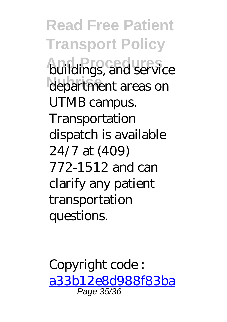**Read Free Patient Transport Policy And Procedures** department areas on UTMB campus. **Transportation** dispatch is available 24/7 at (409) 772-1512 and can clarify any patient transportation questions.

Copyright code : [a33b12e8d988f83ba](/search-book/a33b12e8d988f83ba843ef7afae5def1) Page 35/36